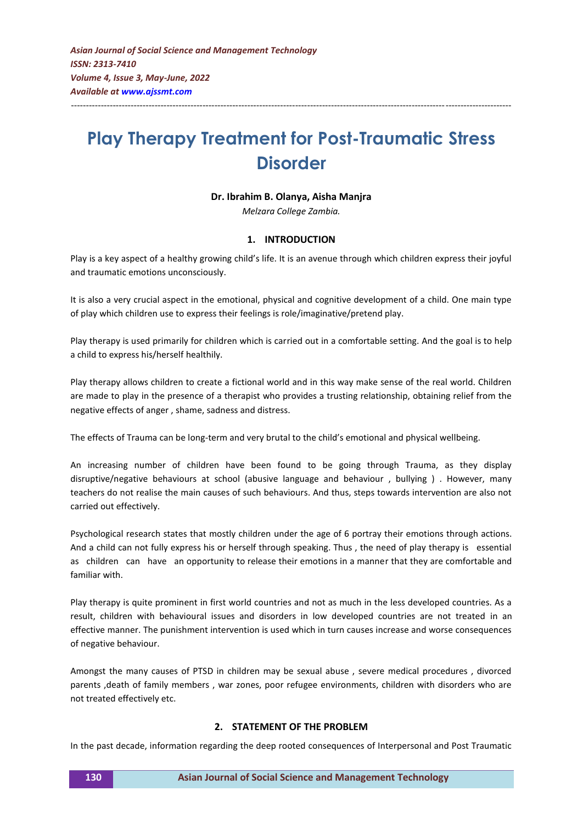# **Play Therapy Treatment for Post-Traumatic Stress Disorder**

---------------------------------------------------------------------------------------------------------------------------------------------------

#### **Dr. Ibrahim B. Olanya, Aisha Manjra**

*Melzara College Zambia.*

#### **1. INTRODUCTION**

Play is a key aspect of a healthy growing child's life. It is an avenue through which children express their joyful and traumatic emotions unconsciously.

It is also a very crucial aspect in the emotional, physical and cognitive development of a child. One main type of play which children use to express their feelings is role/imaginative/pretend play.

Play therapy is used primarily for children which is carried out in a comfortable setting. And the goal is to help a child to express his/herself healthily.

Play therapy allows children to create a fictional world and in this way make sense of the real world. Children are made to play in the presence of a therapist who provides a trusting relationship, obtaining relief from the negative effects of anger , shame, sadness and distress.

The effects of Trauma can be long-term and very brutal to the child's emotional and physical wellbeing.

An increasing number of children have been found to be going through Trauma, as they display disruptive/negative behaviours at school (abusive language and behaviour , bullying ) . However, many teachers do not realise the main causes of such behaviours. And thus, steps towards intervention are also not carried out effectively.

Psychological research states that mostly children under the age of 6 portray their emotions through actions. And a child can not fully express his or herself through speaking. Thus , the need of play therapy is essential as children can have an opportunity to release their emotions in a manner that they are comfortable and familiar with.

Play therapy is quite prominent in first world countries and not as much in the less developed countries. As a result, children with behavioural issues and disorders in low developed countries are not treated in an effective manner. The punishment intervention is used which in turn causes increase and worse consequences of negative behaviour.

Amongst the many causes of PTSD in children may be sexual abuse , severe medical procedures , divorced parents ,death of family members , war zones, poor refugee environments, children with disorders who are not treated effectively etc.

## **2. STATEMENT OF THE PROBLEM**

In the past decade, information regarding the deep rooted consequences of Interpersonal and Post Traumatic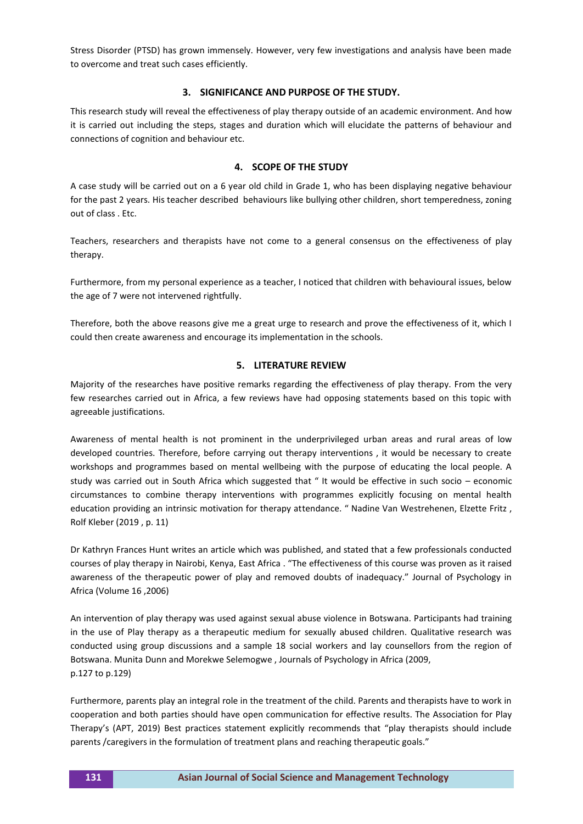Stress Disorder (PTSD) has grown immensely. However, very few investigations and analysis have been made to overcome and treat such cases efficiently.

#### **3. SIGNIFICANCE AND PURPOSE OF THE STUDY.**

This research study will reveal the effectiveness of play therapy outside of an academic environment. And how it is carried out including the steps, stages and duration which will elucidate the patterns of behaviour and connections of cognition and behaviour etc.

### **4. SCOPE OF THE STUDY**

A case study will be carried out on a 6 year old child in Grade 1, who has been displaying negative behaviour for the past 2 years. His teacher described behaviours like bullying other children, short temperedness, zoning out of class . Etc.

Teachers, researchers and therapists have not come to a general consensus on the effectiveness of play therapy.

Furthermore, from my personal experience as a teacher, I noticed that children with behavioural issues, below the age of 7 were not intervened rightfully.

Therefore, both the above reasons give me a great urge to research and prove the effectiveness of it, which I could then create awareness and encourage its implementation in the schools.

#### **5. LITERATURE REVIEW**

Majority of the researches have positive remarks regarding the effectiveness of play therapy. From the very few researches carried out in Africa, a few reviews have had opposing statements based on this topic with agreeable justifications.

Awareness of mental health is not prominent in the underprivileged urban areas and rural areas of low developed countries. Therefore, before carrying out therapy interventions , it would be necessary to create workshops and programmes based on mental wellbeing with the purpose of educating the local people. A study was carried out in South Africa which suggested that " It would be effective in such socio – economic circumstances to combine therapy interventions with programmes explicitly focusing on mental health education providing an intrinsic motivation for therapy attendance. " Nadine Van Westrehenen, Elzette Fritz , Rolf Kleber (2019 , p. 11)

Dr Kathryn Frances Hunt writes an article which was published, and stated that a few professionals conducted courses of play therapy in Nairobi, Kenya, East Africa . "The effectiveness of this course was proven as it raised awareness of the therapeutic power of play and removed doubts of inadequacy." Journal of Psychology in Africa (Volume 16 ,2006)

An intervention of play therapy was used against sexual abuse violence in Botswana. Participants had training in the use of Play therapy as a therapeutic medium for sexually abused children. Qualitative research was conducted using group discussions and a sample 18 social workers and lay counsellors from the region of Botswana. Munita Dunn and Morekwe Selemogwe , Journals of Psychology in Africa (2009, p.127 to p.129)

Furthermore, parents play an integral role in the treatment of the child. Parents and therapists have to work in cooperation and both parties should have open communication for effective results. The Association for Play Therapy's (APT, 2019) Best practices statement explicitly recommends that "play therapists should include parents /caregivers in the formulation of treatment plans and reaching therapeutic goals."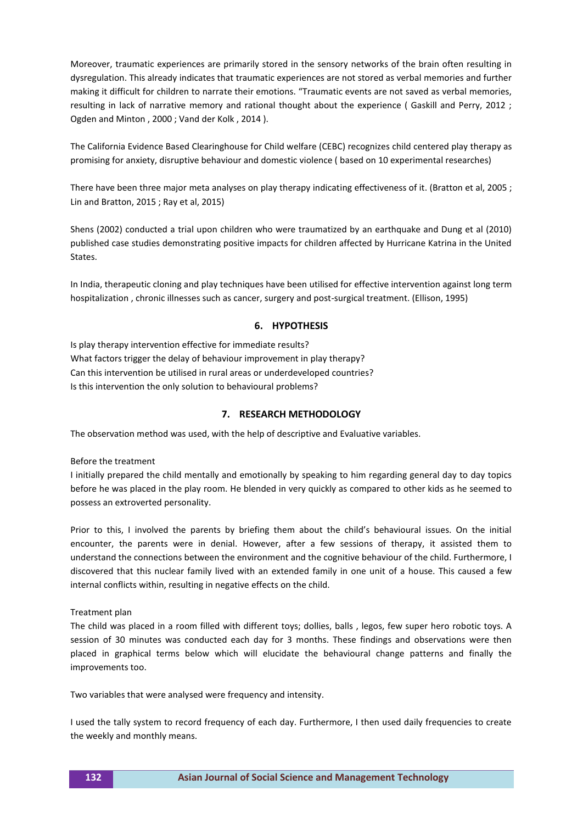Moreover, traumatic experiences are primarily stored in the sensory networks of the brain often resulting in dysregulation. This already indicates that traumatic experiences are not stored as verbal memories and further making it difficult for children to narrate their emotions. "Traumatic events are not saved as verbal memories, resulting in lack of narrative memory and rational thought about the experience ( Gaskill and Perry, 2012 ; Ogden and Minton , 2000 ; Vand der Kolk , 2014 ).

The California Evidence Based Clearinghouse for Child welfare (CEBC) recognizes child centered play therapy as promising for anxiety, disruptive behaviour and domestic violence ( based on 10 experimental researches)

There have been three major meta analyses on play therapy indicating effectiveness of it. (Bratton et al, 2005 ; Lin and Bratton, 2015 ; Ray et al, 2015)

Shens (2002) conducted a trial upon children who were traumatized by an earthquake and Dung et al (2010) published case studies demonstrating positive impacts for children affected by Hurricane Katrina in the United States.

In India, therapeutic cloning and play techniques have been utilised for effective intervention against long term hospitalization , chronic illnesses such as cancer, surgery and post-surgical treatment. (Ellison, 1995)

#### **6. HYPOTHESIS**

Is play therapy intervention effective for immediate results? What factors trigger the delay of behaviour improvement in play therapy? Can this intervention be utilised in rural areas or underdeveloped countries? Is this intervention the only solution to behavioural problems?

#### **7. RESEARCH METHODOLOGY**

The observation method was used, with the help of descriptive and Evaluative variables.

Before the treatment

I initially prepared the child mentally and emotionally by speaking to him regarding general day to day topics before he was placed in the play room. He blended in very quickly as compared to other kids as he seemed to possess an extroverted personality.

Prior to this, I involved the parents by briefing them about the child's behavioural issues. On the initial encounter, the parents were in denial. However, after a few sessions of therapy, it assisted them to understand the connections between the environment and the cognitive behaviour of the child. Furthermore, I discovered that this nuclear family lived with an extended family in one unit of a house. This caused a few internal conflicts within, resulting in negative effects on the child.

Treatment plan

The child was placed in a room filled with different toys; dollies, balls , legos, few super hero robotic toys. A session of 30 minutes was conducted each day for 3 months. These findings and observations were then placed in graphical terms below which will elucidate the behavioural change patterns and finally the improvements too.

Two variables that were analysed were frequency and intensity.

I used the tally system to record frequency of each day. Furthermore, I then used daily frequencies to create the weekly and monthly means.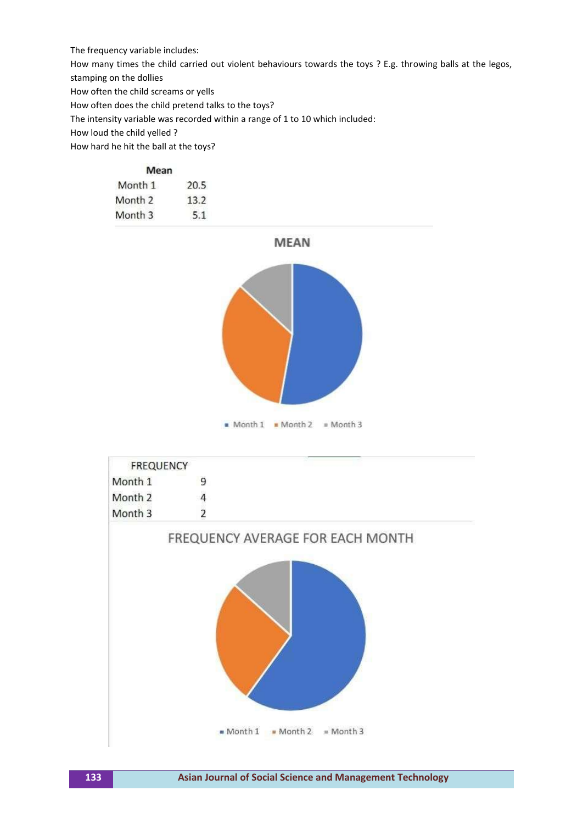The frequency variable includes:

How many times the child carried out violent behaviours towards the toys ? E.g. throwing balls at the legos,

stamping on the dollies

How often the child screams or yells

How often does the child pretend talks to the toys?

The intensity variable was recorded within a range of 1 to 10 which included:

How loud the child yelled ?

How hard he hit the ball at the toys?

| Mean    |      |
|---------|------|
| Month 1 | 20.5 |
| Month 2 | 13.2 |
| Month 3 |      |